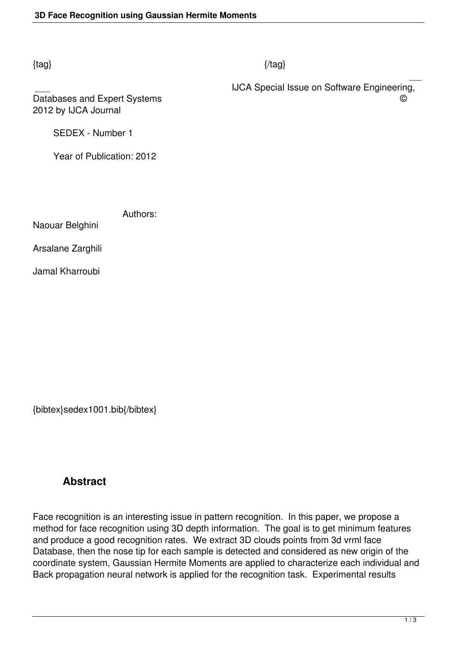#### $\{tag\}$

 IJCA Special Issue on Software Engineering, Databases and Expert Systems **Databases** and Expert Systems **C** 

2012 by IJCA Journal

SEDEX - Number 1

Year of Publication: 2012

Authors:

Naouar Belghini

Arsalane Zarghili

Jamal Kharroubi

{bibtex}sedex1001.bib{/bibtex}

# **Abstract**

Face recognition is an interesting issue in pattern recognition. In this paper, we propose a method for face recognition using 3D depth information. The goal is to get minimum features and produce a good recognition rates. We extract 3D clouds points from 3d vrml face Database, then the nose tip for each sample is detected and considered as new origin of the coordinate system, Gaussian Hermite Moments are applied to characterize each individual and Back propagation neural network is applied for the recognition task. Experimental results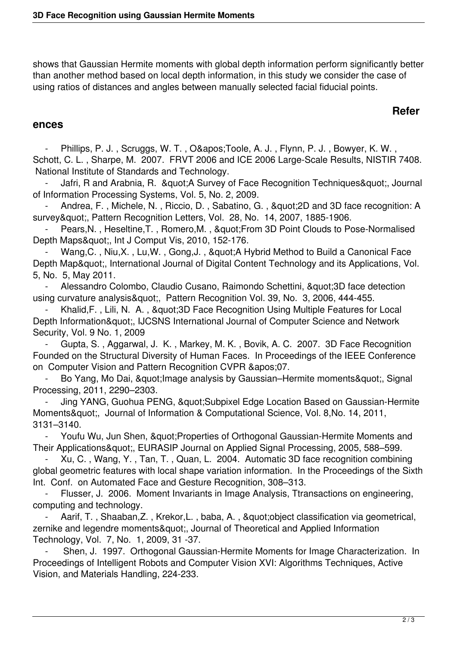shows that Gaussian Hermite moments with global depth information perform significantly better than another method based on local depth information, in this study we consider the case of using ratios of distances and angles between manually selected facial fiducial points.

## **Refer**

#### **ences**

Phillips, P. J., Scruggs, W. T., O' Toole, A. J., Flynn, P. J., Bowyer, K. W., Schott, C. L. , Sharpe, M. 2007. FRVT 2006 and ICE 2006 Large-Scale Results, NISTIR 7408. National Institute of Standards and Technology.

Jafri, R and Arabnia, R. & quot; A Survey of Face Recognition Techniques & quot;, Journal of Information Processing Systems, Vol. 5, No. 2, 2009.

Andrea, F., Michele, N., Riccio, D., Sabatino, G., " 2D and 3D face recognition: A survey", Pattern Recognition Letters, Vol. 28, No. 14, 2007, 1885-1906.

Pears, N., Heseltine, T., Romero, M., & quot; From 3D Point Clouds to Pose-Normalised Depth Maps", Int J Comput Vis, 2010, 152-176.

Wang, C., Niu, X., Lu, W., Gong, J., & quot; A Hybrid Method to Build a Canonical Face Depth Map", International Journal of Digital Content Technology and its Applications, Vol. 5, No. 5, May 2011.

Alessandro Colombo, Claudio Cusano, Raimondo Schettini, "3D face detection using curvature analysis", Pattern Recognition Vol. 39, No. 3, 2006, 444-455.

Khalid, F., Lili, N. A., & quot; 3D Face Recognition Using Multiple Features for Local Depth Information", IJCSNS International Journal of Computer Science and Network Security, Vol. 9 No. 1, 2009

 - Gupta, S. , Aggarwal, J. K. , Markey, M. K. , Bovik, A. C. 2007. 3D Face Recognition Founded on the Structural Diversity of Human Faces. In Proceedings of the IEEE Conference on Computer Vision and Pattern Recognition CVPR & apos: 07.

Bo Yang, Mo Dai, & quot; Image analysis by Gaussian–Hermite moments & quot;, Signal Processing, 2011, 2290–2303.

Jing YANG, Guohua PENG, & quot; Subpixel Edge Location Based on Gaussian-Hermite Moments", Journal of Information & Computational Science, Vol. 8,No. 14, 2011, 3131–3140.

Youfu Wu, Jun Shen, " Properties of Orthogonal Gaussian-Hermite Moments and Their Applications", EURASIP Journal on Applied Signal Processing, 2005, 588–599.

 - Xu, C. , Wang, Y. , Tan, T. , Quan, L. 2004. Automatic 3D face recognition combining global geometric features with local shape variation information. In the Proceedings of the Sixth Int. Conf. on Automated Face and Gesture Recognition, 308–313.

Flusser, J. 2006. Moment Invariants in Image Analysis, Ttransactions on engineering, computing and technology.

Aarif, T., Shaaban, Z., Krekor, L., baba, A., & quot; object classification via geometrical, zernike and legendre moments", Journal of Theoretical and Applied Information Technology, Vol. 7, No. 1, 2009, 31 -37.

 - Shen, J. 1997. Orthogonal Gaussian-Hermite Moments for Image Characterization. In Proceedings of Intelligent Robots and Computer Vision XVI: Algorithms Techniques, Active Vision, and Materials Handling, 224-233.